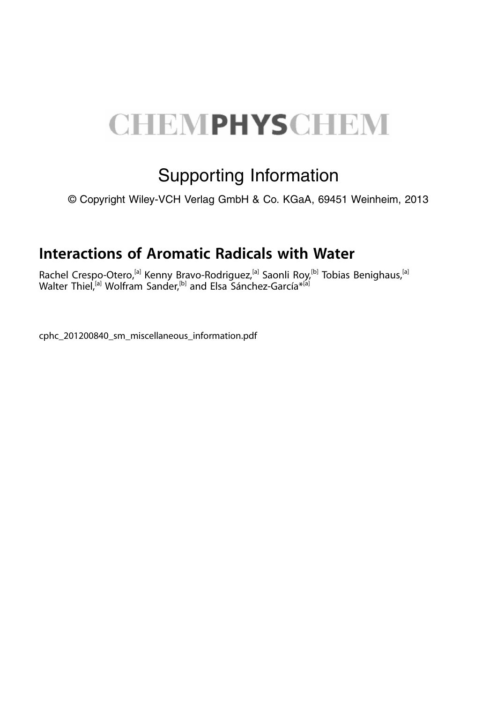## **CHEMPHYSCHEM**

## Supporting Information

© Copyright Wiley-VCH Verlag GmbH & Co. KGaA, 69451 Weinheim, 2013

## Interactions of Aromatic Radicals with Water

Rachel Crespo-Otero,<sup>[a]</sup> Kenny Bravo-Rodriguez,<sup>[a]</sup> Saonli Roy,<sup>[b]</sup> Tobias Benighaus,<sup>[a]</sup> Walter Thiel,<sup>[a]</sup> Wolfram Sander,<sup>[b]</sup> and Elsa Sánchez-García<sup>\*ai</sup>

cphc\_201200840\_sm\_miscellaneous\_information.pdf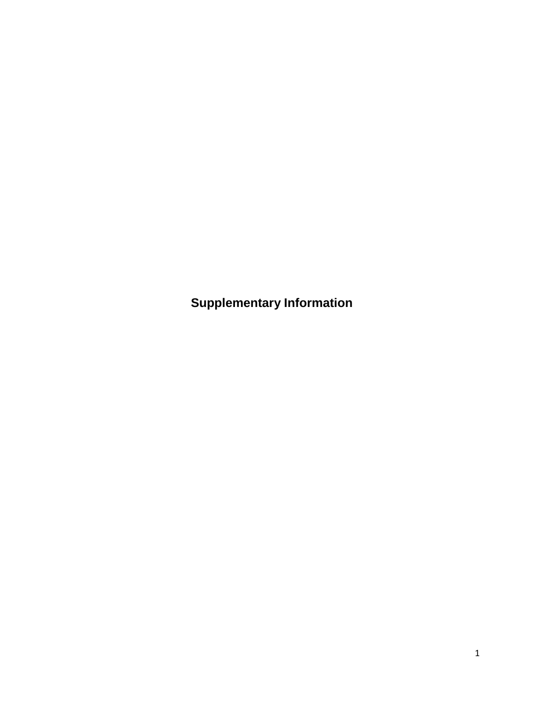**Supplementary Information**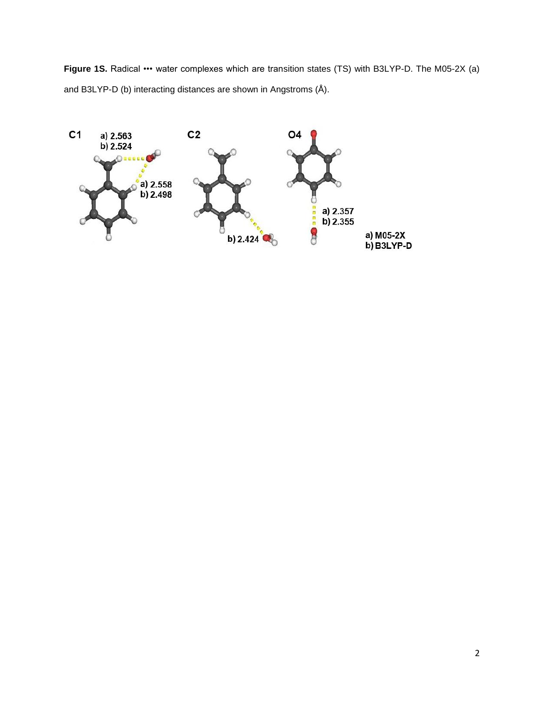Figure 1S. Radical ••• water complexes which are transition states (TS) with B3LYP-D. The M05-2X (a) and B3LYP-D (b) interacting distances are shown in Angstroms (Å).

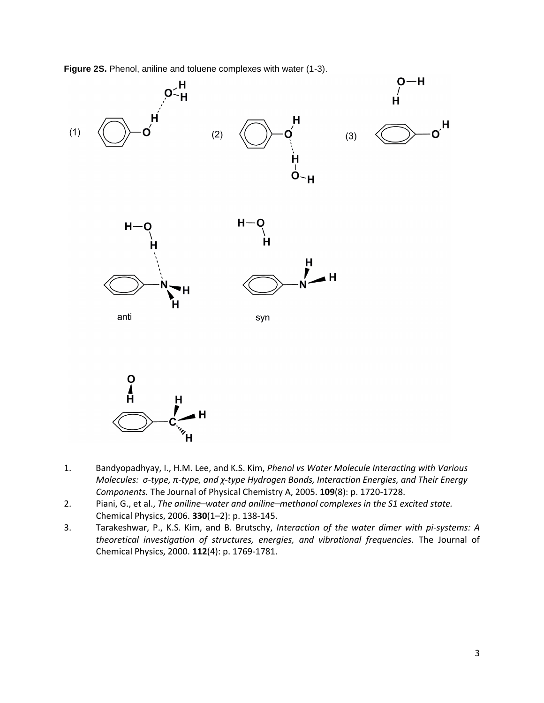**Figure 2S.** Phenol, aniline and toluene complexes with water (1-3).





- 1. Bandyopadhyay, I., H.M. Lee, and K.S. Kim, *Phenol vs Water Molecule Interacting with Various Molecules:  σ-type, π-type, and χ-type Hydrogen Bonds, Interaction Energies, and Their Energy Components.* The Journal of Physical Chemistry A, 2005. **109**(8): p. 1720-1728.
- 2. Piani, G., et al., *The aniline–water and aniline–methanol complexes in the S1 excited state.* Chemical Physics, 2006. **330**(1–2): p. 138-145.
- 3. Tarakeshwar, P., K.S. Kim, and B. Brutschy, *Interaction of the water dimer with pi-systems: A theoretical investigation of structures, energies, and vibrational frequencies.* The Journal of Chemical Physics, 2000. **112**(4): p. 1769-1781.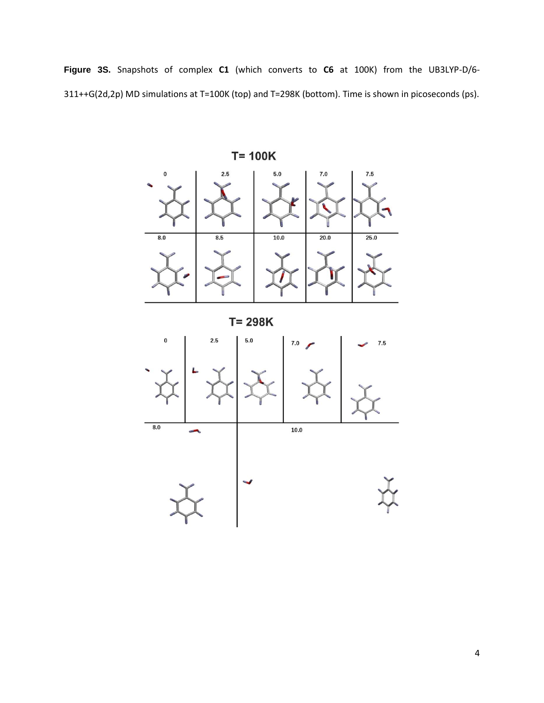**Figure 3S.** Snapshots of complex **C1** (which converts to **C6** at 100K) from the UB3LYP-D/6- 311++G(2d,2p) MD simulations at T=100K (top) and T=298K (bottom). Time is shown in picoseconds (ps).



 $T = 298K$ 

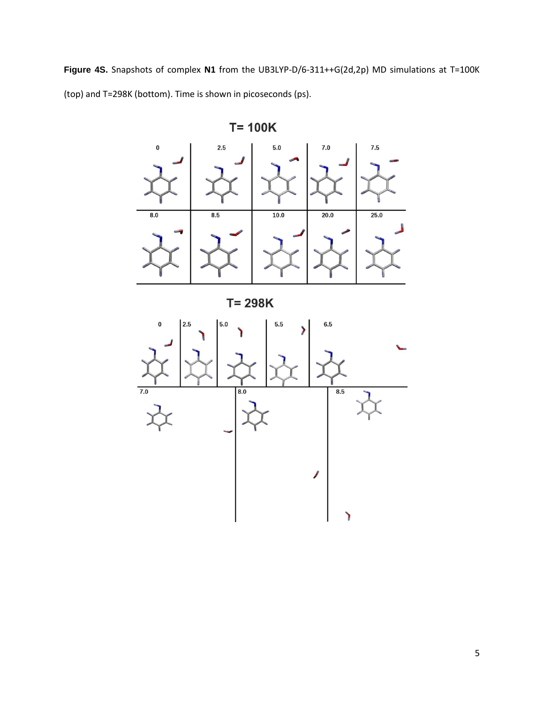**Figure 4S.** Snapshots of complex **N1** from the UB3LYP-D/6-311++G(2d,2p) MD simulations at T=100K (top) and T=298K (bottom). Time is shown in picoseconds (ps).



 $T = 100K$ 

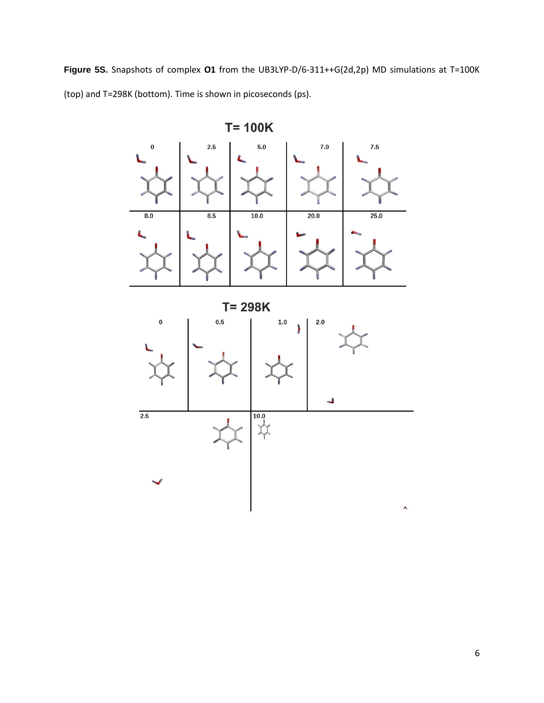**Figure 5S.** Snapshots of complex **O1** from the UB3LYP-D/6-311++G(2d,2p) MD simulations at T=100K (top) and T=298K (bottom). Time is shown in picoseconds (ps).

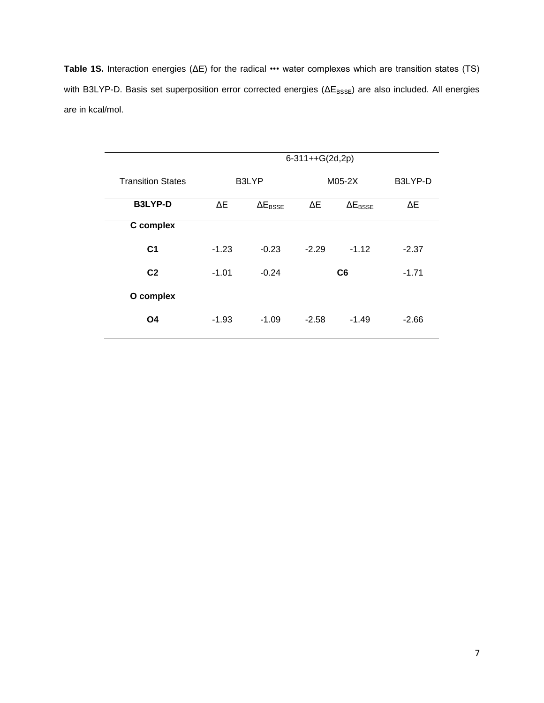**Table 1S.** Interaction energies (ΔE) for the radical ••• water complexes which are transition states (TS) with B3LYP-D. Basis set superposition error corrected energies (ΔE<sub>BSSE</sub>) are also included. All energies are in kcal/mol.

|                          | $6-311++G(2d,2p)$ |                          |                |                          |         |  |  |
|--------------------------|-------------------|--------------------------|----------------|--------------------------|---------|--|--|
| <b>Transition States</b> |                   | B3LYP                    |                | M05-2X                   | B3LYP-D |  |  |
| <b>B3LYP-D</b>           | ΔΕ                | $\Delta E_{\text{BSSE}}$ | ΔΕ             | $\Delta E_{\text{BSSE}}$ | ΔΕ      |  |  |
| C complex                |                   |                          |                |                          |         |  |  |
| C <sub>1</sub>           | $-1.23$           | $-0.23$                  | $-2.29$        | $-1.12$                  | $-2.37$ |  |  |
| C <sub>2</sub>           | $-1.01$           | $-0.24$                  | C <sub>6</sub> |                          | $-1.71$ |  |  |
| O complex                |                   |                          |                |                          |         |  |  |
| O <sub>4</sub>           | $-1.93$           | $-1.09$                  | $-2.58$        | $-1.49$                  | $-2.66$ |  |  |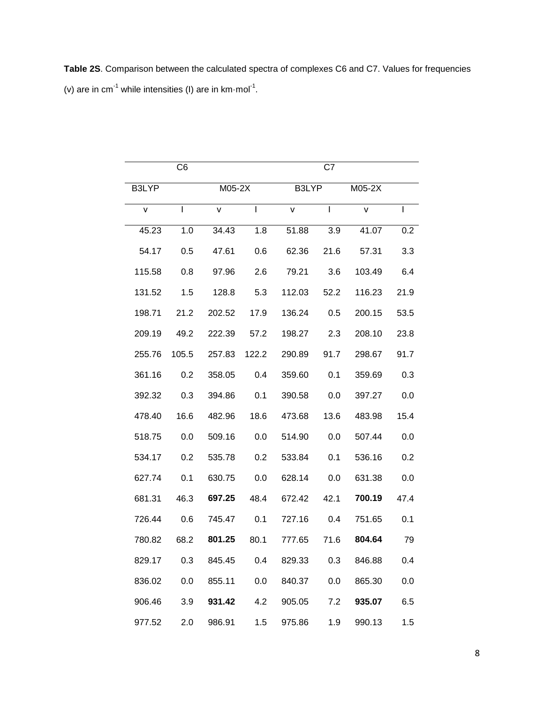**Table 2S**. Comparison between the calculated spectra of complexes C6 and C7. Values for frequencies (v) are in cm<sup>-1</sup> while intensities (I) are in  $km \cdot mol^{-1}$ .

|        | C6    |        | C7    |        |      |        |      |  |
|--------|-------|--------|-------|--------|------|--------|------|--|
| B3LYP  |       | M05-2X |       | B3LYP  |      | M05-2X |      |  |
| v      | L     | v      | I     | v      | L    | v      |      |  |
| 45.23  | 1.0   | 34.43  | 1.8   | 51.88  | 3.9  | 41.07  | 0.2  |  |
| 54.17  | 0.5   | 47.61  | 0.6   | 62.36  | 21.6 | 57.31  | 3.3  |  |
| 115.58 | 0.8   | 97.96  | 2.6   | 79.21  | 3.6  | 103.49 | 6.4  |  |
| 131.52 | 1.5   | 128.8  | 5.3   | 112.03 | 52.2 | 116.23 | 21.9 |  |
| 198.71 | 21.2  | 202.52 | 17.9  | 136.24 | 0.5  | 200.15 | 53.5 |  |
| 209.19 | 49.2  | 222.39 | 57.2  | 198.27 | 2.3  | 208.10 | 23.8 |  |
| 255.76 | 105.5 | 257.83 | 122.2 | 290.89 | 91.7 | 298.67 | 91.7 |  |
| 361.16 | 0.2   | 358.05 | 0.4   | 359.60 | 0.1  | 359.69 | 0.3  |  |
| 392.32 | 0.3   | 394.86 | 0.1   | 390.58 | 0.0  | 397.27 | 0.0  |  |
| 478.40 | 16.6  | 482.96 | 18.6  | 473.68 | 13.6 | 483.98 | 15.4 |  |
| 518.75 | 0.0   | 509.16 | 0.0   | 514.90 | 0.0  | 507.44 | 0.0  |  |
| 534.17 | 0.2   | 535.78 | 0.2   | 533.84 | 0.1  | 536.16 | 0.2  |  |
| 627.74 | 0.1   | 630.75 | 0.0   | 628.14 | 0.0  | 631.38 | 0.0  |  |
| 681.31 | 46.3  | 697.25 | 48.4  | 672.42 | 42.1 | 700.19 | 47.4 |  |
| 726.44 | 0.6   | 745.47 | 0.1   | 727.16 | 0.4  | 751.65 | 0.1  |  |
| 780.82 | 68.2  | 801.25 | 80.1  | 777.65 | 71.6 | 804.64 | 79   |  |
| 829.17 | 0.3   | 845.45 | 0.4   | 829.33 | 0.3  | 846.88 | 0.4  |  |
| 836.02 | 0.0   | 855.11 | 0.0   | 840.37 | 0.0  | 865.30 | 0.0  |  |
| 906.46 | 3.9   | 931.42 | 4.2   | 905.05 | 7.2  | 935.07 | 6.5  |  |
| 977.52 | 2.0   | 986.91 | 1.5   | 975.86 | 1.9  | 990.13 | 1.5  |  |